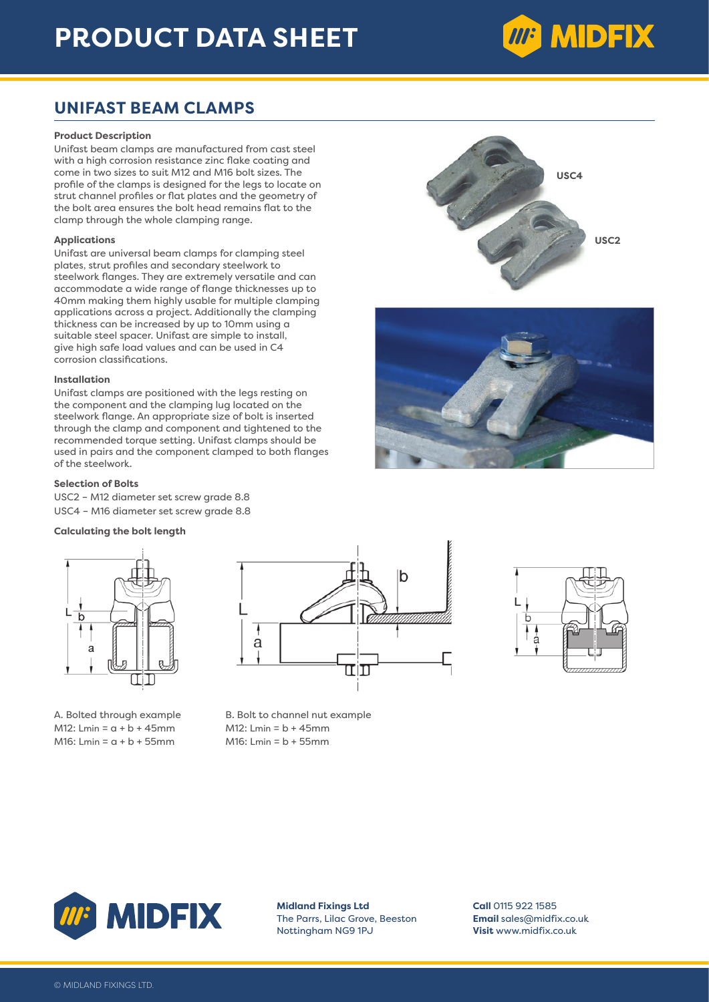## **PRODUCT DATA SHEET**

# **MP MIDFIX**

### **UNIFAST BEAM CLAMPS**

#### **Product Description**

Unifast beam clamps are manufactured from cast steel with a high corrosion resistance zinc flake coating and come in two sizes to suit M12 and M16 bolt sizes. The profile of the clamps is designed for the legs to locate on strut channel profiles or flat plates and the geometry of the bolt area ensures the bolt head remains flat to the clamp through the whole clamping range.

#### **Applications**

Unifast are universal beam clamps for clamping steel plates, strut profiles and secondary steelwork to steelwork flanges. They are extremely versatile and can accommodate a wide range of flange thicknesses up to 40mm making them highly usable for multiple clamping applications across a project. Additionally the clamping thickness can be increased by up to 10mm using a suitable steel spacer. Unifast are simple to install, give high safe load values and can be used in C4 corrosion classifications.

#### **Installation**

Unifast clamps are positioned with the legs resting on the component and the clamping lug located on the steelwork flange. An appropriate size of bolt is inserted through the clamp and component and tightened to the recommended torque setting. Unifast clamps should be used in pairs and the component clamped to both flanges of the steelwork.

#### **Selection of Bolts**

USC2 – M12 diameter set screw grade 8.8 USC4 – M16 diameter set screw grade 8.8

#### **Calculating the bolt length**



M12: Lmin =  $a + b + 45$ mm M12: Lmin =  $b + 45$ mm  $M16:$  Lmin =  $a + b + 55$ mm  $M16:$  Lmin =  $b + 55$ mm



A. Bolted through example B. Bolt to channel nut example









**Midland Fixings Ltd** The Parrs, Lilac Grove, Beeston Nottingham NG9 1PJ

**Call** 0115 922 1585 **Email** sales@midfix.co.uk **Visit** www.midfix.co.uk